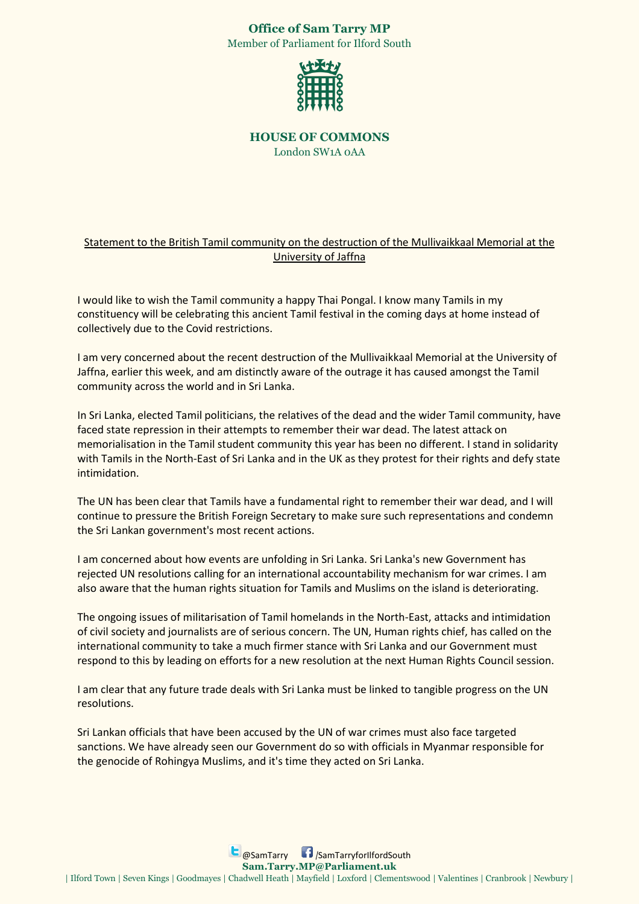## **Office of Sam Tarry MP**

Member of Parliament for Ilford South



**HOUSE OF COMMONS**  London SW1A 0AA

## Statement to the British Tamil community on the destruction of the Mullivaikkaal Memorial at the University of Jaffna

I would like to wish the Tamil community a happy Thai Pongal. I know many Tamils in my constituency will be celebrating this ancient Tamil festival in the coming days at home instead of collectively due to the Covid restrictions.

I am very concerned about the recent destruction of the Mullivaikkaal Memorial at the University of Jaffna, earlier this week, and am distinctly aware of the outrage it has caused amongst the Tamil community across the world and in Sri Lanka.

In Sri Lanka, elected Tamil politicians, the relatives of the dead and the wider Tamil community, have faced state repression in their attempts to remember their war dead. The latest attack on memorialisation in the Tamil student community this year has been no different. I stand in solidarity with Tamils in the North-East of Sri Lanka and in the UK as they protest for their rights and defy state intimidation.

The UN has been clear that Tamils have a fundamental right to remember their war dead, and I will continue to pressure the British Foreign Secretary to make sure such representations and condemn the Sri Lankan government's most recent actions.

I am concerned about how events are unfolding in Sri Lanka. Sri Lanka's new Government has rejected UN resolutions calling for an international accountability mechanism for war crimes. I am also aware that the human rights situation for Tamils and Muslims on the island is deteriorating.

The ongoing issues of militarisation of Tamil homelands in the North-East, attacks and intimidation of civil society and journalists are of serious concern. The UN, Human rights chief, has called on the international community to take a much firmer stance with Sri Lanka and our Government must respond to this by leading on efforts for a new resolution at the next Human Rights Council session.

I am clear that any future trade deals with Sri Lanka must be linked to tangible progress on the UN resolutions.

Sri Lankan officials that have been accused by the UN of war crimes must also face targeted sanctions. We have already seen our Government do so with officials in Myanmar responsible for the genocide of Rohingya Muslims, and it's time they acted on Sri Lanka.